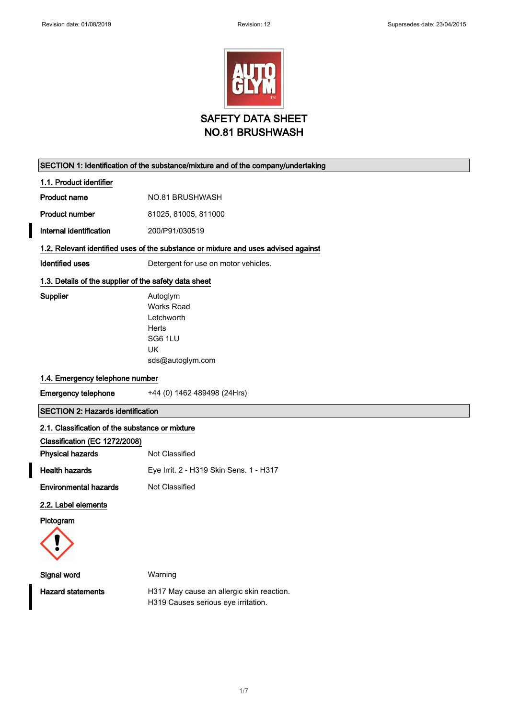

## SECTION 1: Identification of the substance/mixture and of the company/undertaking

1.1. Product identifier

Product number 81025, 81005, 811000

Internal identification 200/P91/030519

## 1.2. Relevant identified uses of the substance or mixture and uses advised against

Identified uses **Detergent for use on motor vehicles**.

## 1.3. Details of the supplier of the safety data sheet

Supplier **Autoglym** 

Works Road Letchworth Herts SG6 1LU UK sds@autoglym.com

#### 1.4. Emergency telephone number

Emergency telephone +44 (0) 1462 489498 (24Hrs)

# SECTION 2: Hazards identification

## 2.1. Classification of the substance or mixture

| Classification (EC 1272/2008) |                                         |
|-------------------------------|-----------------------------------------|
| <b>Physical hazards</b>       | Not Classified                          |
| <b>Health hazards</b>         | Eye Irrit. 2 - H319 Skin Sens. 1 - H317 |
| <b>Environmental hazards</b>  | Not Classified                          |

#### 2.2. Label elements

Pictogram



| Signal word              | Warning                                   |
|--------------------------|-------------------------------------------|
| <b>Hazard statements</b> | H317 May cause an allergic skin reaction. |
|                          | H319 Causes serious eye irritation.       |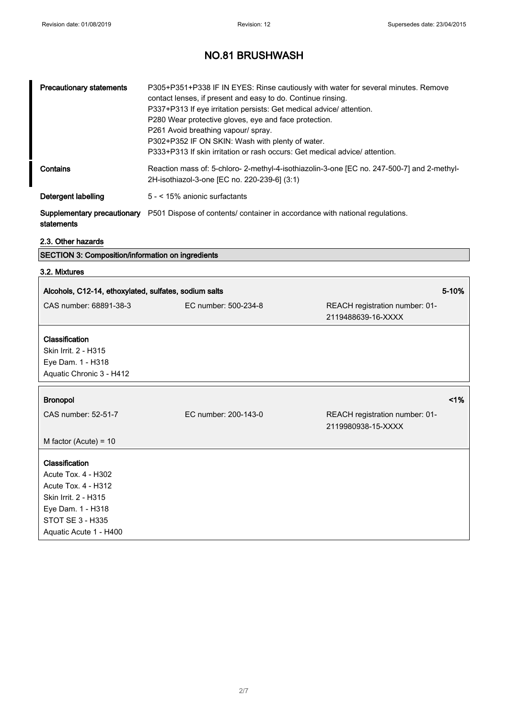| <b>Precautionary statements</b> | P305+P351+P338 IF IN EYES: Rinse cautiously with water for several minutes. Remove<br>contact lenses, if present and easy to do. Continue rinsing.<br>P337+P313 If eye irritation persists: Get medical advice/ attention.<br>P280 Wear protective gloves, eye and face protection.<br>P261 Avoid breathing vapour/ spray.<br>P302+P352 IF ON SKIN: Wash with plenty of water.<br>P333+P313 If skin irritation or rash occurs: Get medical advice/attention. |
|---------------------------------|--------------------------------------------------------------------------------------------------------------------------------------------------------------------------------------------------------------------------------------------------------------------------------------------------------------------------------------------------------------------------------------------------------------------------------------------------------------|
| Contains                        | Reaction mass of: 5-chloro- 2-methyl-4-isothiazolin-3-one [EC no. 247-500-7] and 2-methyl-<br>2H-isothiazol-3-one [EC no. 220-239-6] (3:1)                                                                                                                                                                                                                                                                                                                   |
| Detergent labelling             | 5 - < 15% anionic surfactants                                                                                                                                                                                                                                                                                                                                                                                                                                |
| statements                      | <b>Supplementary precautionary</b> P501 Dispose of contents/ container in accordance with national regulations.                                                                                                                                                                                                                                                                                                                                              |

| 2.3. Other hazards                                    |                                                          |                                |       |
|-------------------------------------------------------|----------------------------------------------------------|--------------------------------|-------|
|                                                       | <b>SECTION 3: Composition/information on ingredients</b> |                                |       |
| 3.2. Mixtures                                         |                                                          |                                |       |
|                                                       |                                                          |                                |       |
| Alcohols, C12-14, ethoxylated, sulfates, sodium salts |                                                          |                                | 5-10% |
| CAS number: 68891-38-3                                | EC number: 500-234-8                                     | REACH registration number: 01- |       |
|                                                       |                                                          | 2119488639-16-XXXX             |       |
|                                                       |                                                          |                                |       |
| <b>Classification</b><br>Skin Irrit. 2 - H315         |                                                          |                                |       |
|                                                       |                                                          |                                |       |
| Eye Dam. 1 - H318<br>Aquatic Chronic 3 - H412         |                                                          |                                |       |
|                                                       |                                                          |                                |       |
| <b>Bronopol</b>                                       |                                                          |                                | 1%    |
|                                                       |                                                          |                                |       |
| CAS number: 52-51-7                                   | EC number: 200-143-0                                     | REACH registration number: 01- |       |
|                                                       |                                                          | 2119980938-15-XXXX             |       |
| M factor (Acute) = $10$                               |                                                          |                                |       |
| Classification                                        |                                                          |                                |       |
| Acute Tox. 4 - H302                                   |                                                          |                                |       |
| <b>Acute Tox. 4 - H312</b>                            |                                                          |                                |       |
| Skin Irrit. 2 - H315                                  |                                                          |                                |       |
| Eye Dam. 1 - H318                                     |                                                          |                                |       |
| STOT SE 3 - H335                                      |                                                          |                                |       |
| Aquatic Acute 1 - H400                                |                                                          |                                |       |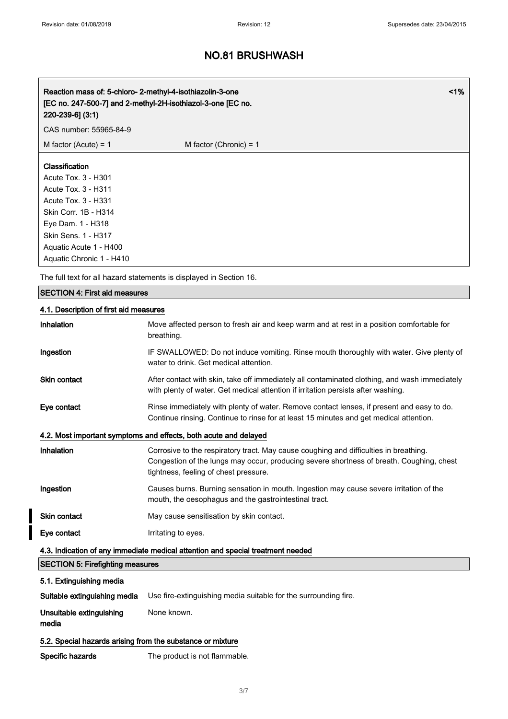| Reaction mass of: 5-chloro- 2-methyl-4-isothiazolin-3-one<br>[EC no. 247-500-7] and 2-methyl-2H-isothiazol-3-one [EC no.<br>$220 - 239 - 6$ ] (3:1)                                                           |                          | $1\%$ |
|---------------------------------------------------------------------------------------------------------------------------------------------------------------------------------------------------------------|--------------------------|-------|
| CAS number: 55965-84-9                                                                                                                                                                                        |                          |       |
| M factor (Acute) = $1$                                                                                                                                                                                        | M factor (Chronic) = $1$ |       |
| Classification<br>Acute Tox. 3 - H301<br>Acute Tox. 3 - H311<br>Acute Tox. 3 - H331<br>Skin Corr. 1B - H314<br>Eye Dam. 1 - H318<br>Skin Sens. 1 - H317<br>Aquatic Acute 1 - H400<br>Aquatic Chronic 1 - H410 |                          |       |

The full text for all hazard statements is displayed in Section 16.

# SECTION 4: First aid measures

## 4.1. Description of first aid measures

| Inhalation                                                       | Move affected person to fresh air and keep warm and at rest in a position comfortable for<br>breathing.                                                                                                                    |  |
|------------------------------------------------------------------|----------------------------------------------------------------------------------------------------------------------------------------------------------------------------------------------------------------------------|--|
| Ingestion                                                        | IF SWALLOWED: Do not induce vomiting. Rinse mouth thoroughly with water. Give plenty of<br>water to drink. Get medical attention.                                                                                          |  |
| <b>Skin contact</b>                                              | After contact with skin, take off immediately all contaminated clothing, and wash immediately<br>with plenty of water. Get medical attention if irritation persists after washing.                                         |  |
| Eye contact                                                      | Rinse immediately with plenty of water. Remove contact lenses, if present and easy to do.<br>Continue rinsing. Continue to rinse for at least 15 minutes and get medical attention.                                        |  |
| 4.2. Most important symptoms and effects, both acute and delayed |                                                                                                                                                                                                                            |  |
| Inhalation                                                       | Corrosive to the respiratory tract. May cause coughing and difficulties in breathing.<br>Congestion of the lungs may occur, producing severe shortness of breath. Coughing, chest<br>tightness, feeling of chest pressure. |  |
| Ingestion                                                        | Causes burns. Burning sensation in mouth. Ingestion may cause severe irritation of the<br>mouth, the oesophagus and the gastrointestinal tract.                                                                            |  |
| <b>Skin contact</b>                                              | May cause sensitisation by skin contact.                                                                                                                                                                                   |  |
| Eye contact                                                      | Irritating to eyes.                                                                                                                                                                                                        |  |
|                                                                  | 4.3. Indication of any immediate medical attention and special treatment needed                                                                                                                                            |  |
| <b>SECTION 5: Firefighting measures</b>                          |                                                                                                                                                                                                                            |  |
| 5.1. Extinguishing media                                         |                                                                                                                                                                                                                            |  |
| Suitable extinguishing media                                     | Use fire-extinguishing media suitable for the surrounding fire.                                                                                                                                                            |  |
| Unsuitable extinguishing<br>media                                | None known.                                                                                                                                                                                                                |  |
| 5.2. Special hazards arising from the substance or mixture       |                                                                                                                                                                                                                            |  |

Specific hazards The product is not flammable.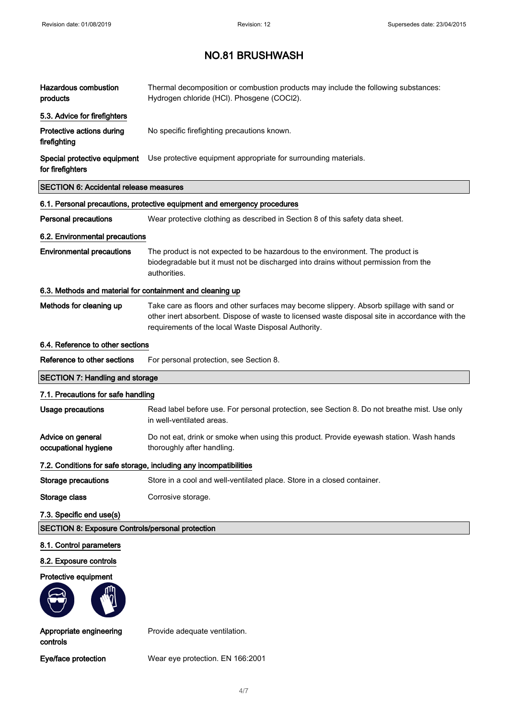| <b>Hazardous combustion</b><br>products                   | Thermal decomposition or combustion products may include the following substances:<br>Hydrogen chloride (HCl). Phosgene (COCl2).                                                                                                                  |
|-----------------------------------------------------------|---------------------------------------------------------------------------------------------------------------------------------------------------------------------------------------------------------------------------------------------------|
| 5.3. Advice for firefighters                              |                                                                                                                                                                                                                                                   |
| Protective actions during<br>firefighting                 | No specific firefighting precautions known.                                                                                                                                                                                                       |
| Special protective equipment<br>for firefighters          | Use protective equipment appropriate for surrounding materials.                                                                                                                                                                                   |
| <b>SECTION 6: Accidental release measures</b>             |                                                                                                                                                                                                                                                   |
|                                                           | 6.1. Personal precautions, protective equipment and emergency procedures                                                                                                                                                                          |
| <b>Personal precautions</b>                               | Wear protective clothing as described in Section 8 of this safety data sheet.                                                                                                                                                                     |
| 6.2. Environmental precautions                            |                                                                                                                                                                                                                                                   |
| <b>Environmental precautions</b>                          | The product is not expected to be hazardous to the environment. The product is<br>biodegradable but it must not be discharged into drains without permission from the<br>authorities.                                                             |
| 6.3. Methods and material for containment and cleaning up |                                                                                                                                                                                                                                                   |
| Methods for cleaning up                                   | Take care as floors and other surfaces may become slippery. Absorb spillage with sand or<br>other inert absorbent. Dispose of waste to licensed waste disposal site in accordance with the<br>requirements of the local Waste Disposal Authority. |
| 6.4. Reference to other sections                          |                                                                                                                                                                                                                                                   |
| Reference to other sections                               | For personal protection, see Section 8.                                                                                                                                                                                                           |
| <b>SECTION 7: Handling and storage</b>                    |                                                                                                                                                                                                                                                   |
| 7.1. Precautions for safe handling                        |                                                                                                                                                                                                                                                   |
| <b>Usage precautions</b>                                  | Read label before use. For personal protection, see Section 8. Do not breathe mist. Use only<br>in well-ventilated areas.                                                                                                                         |
| Advice on general<br>occupational hygiene                 | Do not eat, drink or smoke when using this product. Provide eyewash station. Wash hands<br>thoroughly after handling.                                                                                                                             |
|                                                           | 7.2. Conditions for safe storage, including any incompatibilities                                                                                                                                                                                 |
| <b>Storage precautions</b>                                | Store in a cool and well-ventilated place. Store in a closed container.                                                                                                                                                                           |
| Storage class                                             | Corrosive storage.                                                                                                                                                                                                                                |
| 7.3. Specific end use(s)                                  |                                                                                                                                                                                                                                                   |
| <b>SECTION 8: Exposure Controls/personal protection</b>   |                                                                                                                                                                                                                                                   |
| 8.1. Control parameters                                   |                                                                                                                                                                                                                                                   |
| 8.2. Exposure controls                                    |                                                                                                                                                                                                                                                   |
| Protective equipment                                      |                                                                                                                                                                                                                                                   |
|                                                           |                                                                                                                                                                                                                                                   |
| Appropriate engineering<br>controls                       | Provide adequate ventilation.                                                                                                                                                                                                                     |

Eye/face protection Wear eye protection. EN 166:2001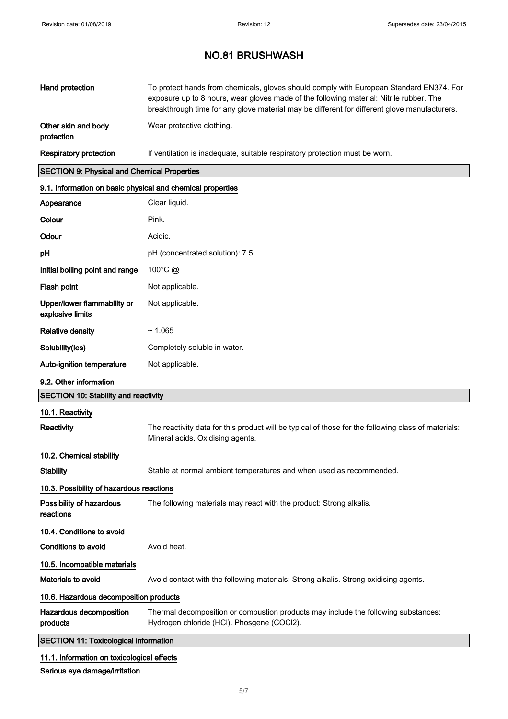| <b>Hand protection</b>                                     | To protect hands from chemicals, gloves should comply with European Standard EN374. For<br>exposure up to 8 hours, wear gloves made of the following material: Nitrile rubber. The<br>breakthrough time for any glove material may be different for different glove manufacturers. |  |
|------------------------------------------------------------|------------------------------------------------------------------------------------------------------------------------------------------------------------------------------------------------------------------------------------------------------------------------------------|--|
| Other skin and body<br>protection                          | Wear protective clothing.                                                                                                                                                                                                                                                          |  |
| <b>Respiratory protection</b>                              | If ventilation is inadequate, suitable respiratory protection must be worn.                                                                                                                                                                                                        |  |
| <b>SECTION 9: Physical and Chemical Properties</b>         |                                                                                                                                                                                                                                                                                    |  |
| 9.1. Information on basic physical and chemical properties |                                                                                                                                                                                                                                                                                    |  |
| Appearance                                                 | Clear liquid.                                                                                                                                                                                                                                                                      |  |
| Colour                                                     | Pink.                                                                                                                                                                                                                                                                              |  |
| Odour                                                      | Acidic.                                                                                                                                                                                                                                                                            |  |
| pН                                                         | pH (concentrated solution): 7.5                                                                                                                                                                                                                                                    |  |
| Initial boiling point and range                            | 100 $^{\circ}$ C $\omega$                                                                                                                                                                                                                                                          |  |
| Flash point                                                | Not applicable.                                                                                                                                                                                                                                                                    |  |
| Upper/lower flammability or<br>explosive limits            | Not applicable.                                                                                                                                                                                                                                                                    |  |
| <b>Relative density</b>                                    | ~1.065                                                                                                                                                                                                                                                                             |  |
| Solubility(ies)                                            | Completely soluble in water.                                                                                                                                                                                                                                                       |  |
| <b>Auto-ignition temperature</b>                           | Not applicable.                                                                                                                                                                                                                                                                    |  |
| 9.2. Other information                                     |                                                                                                                                                                                                                                                                                    |  |
| <b>SECTION 10: Stability and reactivity</b>                |                                                                                                                                                                                                                                                                                    |  |
| 10.1. Reactivity                                           |                                                                                                                                                                                                                                                                                    |  |
| Reactivity                                                 | The reactivity data for this product will be typical of those for the following class of materials:<br>Mineral acids. Oxidising agents.                                                                                                                                            |  |
| 10.2. Chemical stability                                   |                                                                                                                                                                                                                                                                                    |  |
| <b>Stability</b>                                           | Stable at normal ambient temperatures and when used as recommended.                                                                                                                                                                                                                |  |
| 10.3. Possibility of hazardous reactions                   |                                                                                                                                                                                                                                                                                    |  |
| <b>Possibility of hazardous</b><br>reactions               | The following materials may react with the product: Strong alkalis.                                                                                                                                                                                                                |  |
| 10.4. Conditions to avoid                                  |                                                                                                                                                                                                                                                                                    |  |
| <b>Conditions to avoid</b>                                 | Avoid heat.                                                                                                                                                                                                                                                                        |  |
| 10.5. Incompatible materials                               |                                                                                                                                                                                                                                                                                    |  |
| Materials to avoid                                         | Avoid contact with the following materials: Strong alkalis. Strong oxidising agents.                                                                                                                                                                                               |  |
| 10.6. Hazardous decomposition products                     |                                                                                                                                                                                                                                                                                    |  |
| Hazardous decomposition<br>products                        | Thermal decomposition or combustion products may include the following substances:<br>Hydrogen chloride (HCl). Phosgene (COCl2).                                                                                                                                                   |  |
| <b>SECTION 11: Toxicological information</b>               |                                                                                                                                                                                                                                                                                    |  |

# 11.1. Information on toxicological effects

# Serious eye damage/irritation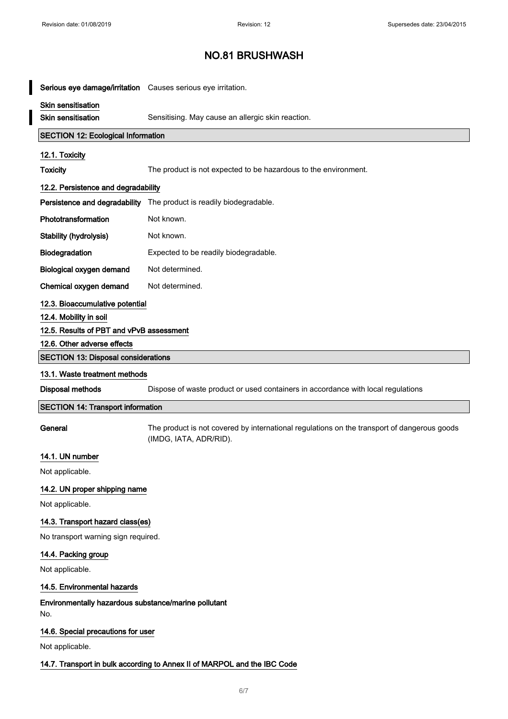$\overline{\phantom{a}}$ 

# NO.81 BRUSHWASH

| Serious eye damage/irritation Causes serious eye irritation. |                                                                                                                       |
|--------------------------------------------------------------|-----------------------------------------------------------------------------------------------------------------------|
| Skin sensitisation                                           |                                                                                                                       |
| <b>Skin sensitisation</b>                                    | Sensitising. May cause an allergic skin reaction.                                                                     |
| <b>SECTION 12: Ecological Information</b>                    |                                                                                                                       |
| 12.1. Toxicity                                               |                                                                                                                       |
| <b>Toxicity</b>                                              | The product is not expected to be hazardous to the environment.                                                       |
| 12.2. Persistence and degradability                          |                                                                                                                       |
| Persistence and degradability                                | The product is readily biodegradable.                                                                                 |
| Phototransformation                                          | Not known.                                                                                                            |
| Stability (hydrolysis)                                       | Not known.                                                                                                            |
| Biodegradation                                               | Expected to be readily biodegradable.                                                                                 |
| Biological oxygen demand                                     | Not determined.                                                                                                       |
| Chemical oxygen demand                                       | Not determined.                                                                                                       |
| 12.3. Bioaccumulative potential                              |                                                                                                                       |
| 12.4. Mobility in soil                                       |                                                                                                                       |
| 12.5. Results of PBT and vPvB assessment                     |                                                                                                                       |
| 12.6. Other adverse effects                                  |                                                                                                                       |
| <b>SECTION 13: Disposal considerations</b>                   |                                                                                                                       |
| 13.1. Waste treatment methods                                |                                                                                                                       |
| Disposal methods                                             | Dispose of waste product or used containers in accordance with local regulations                                      |
| <b>SECTION 14: Transport information</b>                     |                                                                                                                       |
| General                                                      | The product is not covered by international regulations on the transport of dangerous goods<br>(IMDG, IATA, ADR/RID). |
|                                                              |                                                                                                                       |
| 14.1. UN number                                              |                                                                                                                       |
| Not applicable.                                              |                                                                                                                       |
| 14.2. UN proper shipping name                                |                                                                                                                       |
| Not applicable.                                              |                                                                                                                       |
| 14.3. Transport hazard class(es)                             |                                                                                                                       |
| No transport warning sign required.                          |                                                                                                                       |
| 14.4. Packing group                                          |                                                                                                                       |
| Not applicable.                                              |                                                                                                                       |
| 14.5. Environmental hazards                                  |                                                                                                                       |
| Environmentally hazardous substance/marine pollutant<br>No.  |                                                                                                                       |
| 14.6. Special precautions for user                           |                                                                                                                       |
| Not applicable.                                              |                                                                                                                       |